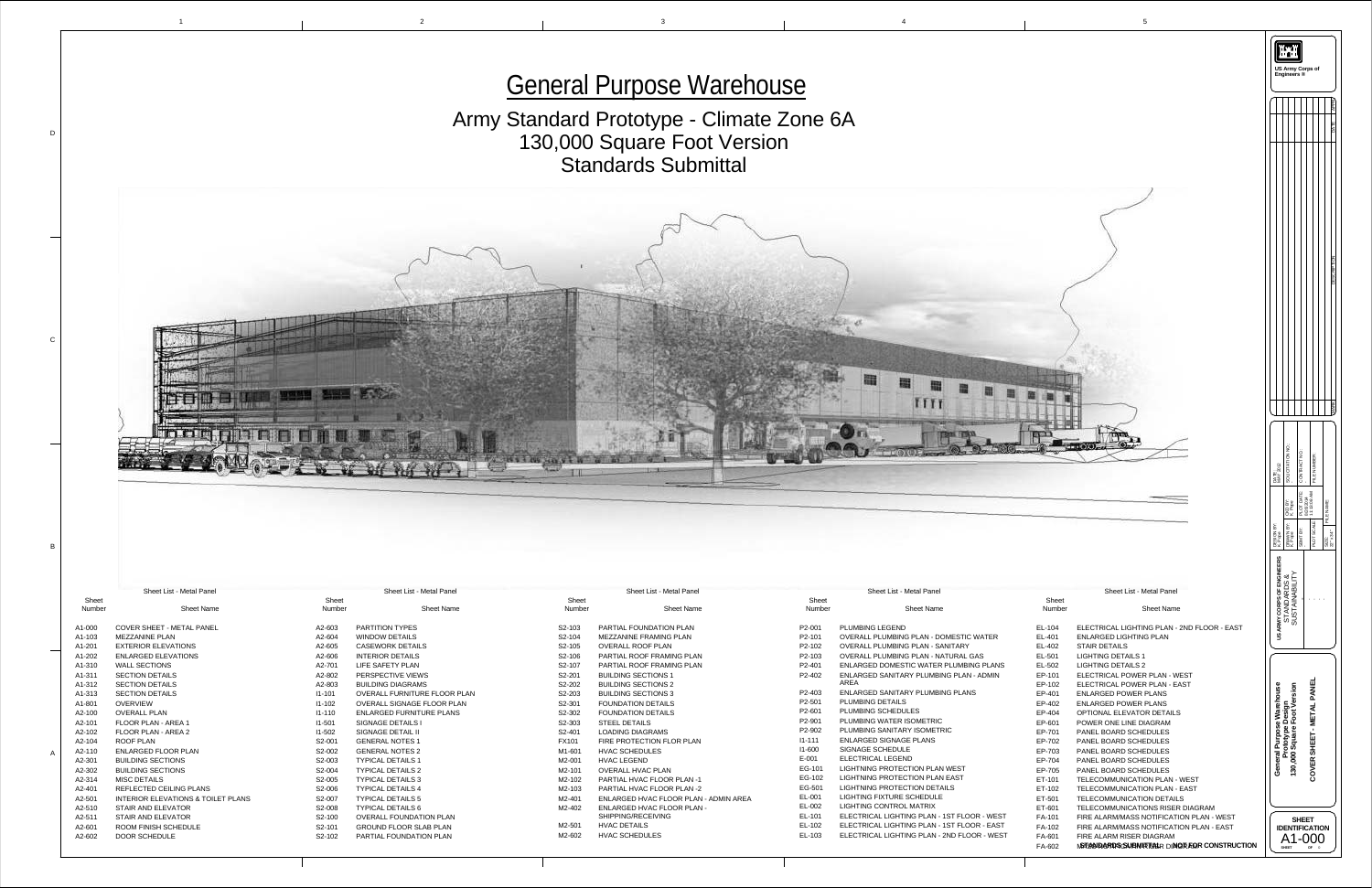

|                                       |                          |                                                             |                        | <b>General Purpose Warehouse</b>                                           |                      |                                                                                            |                            |                                                                                                                              | US Army Corps o                                                                                 |
|---------------------------------------|--------------------------|-------------------------------------------------------------|------------------------|----------------------------------------------------------------------------|----------------------|--------------------------------------------------------------------------------------------|----------------------------|------------------------------------------------------------------------------------------------------------------------------|-------------------------------------------------------------------------------------------------|
|                                       |                          |                                                             |                        |                                                                            |                      |                                                                                            |                            |                                                                                                                              |                                                                                                 |
|                                       |                          |                                                             |                        | Army Standard Prototype - Climate Zone 6A                                  |                      |                                                                                            |                            |                                                                                                                              |                                                                                                 |
|                                       |                          |                                                             |                        | 130,000 Square Foot Version                                                |                      |                                                                                            |                            |                                                                                                                              |                                                                                                 |
|                                       |                          |                                                             |                        |                                                                            |                      |                                                                                            |                            |                                                                                                                              |                                                                                                 |
|                                       |                          |                                                             |                        | <b>Standards Submittal</b>                                                 |                      |                                                                                            |                            |                                                                                                                              |                                                                                                 |
|                                       |                          |                                                             |                        |                                                                            |                      |                                                                                            |                            |                                                                                                                              |                                                                                                 |
|                                       |                          |                                                             |                        |                                                                            |                      |                                                                                            |                            |                                                                                                                              |                                                                                                 |
|                                       |                          |                                                             |                        |                                                                            |                      |                                                                                            |                            |                                                                                                                              |                                                                                                 |
|                                       |                          |                                                             |                        |                                                                            |                      |                                                                                            |                            |                                                                                                                              |                                                                                                 |
|                                       |                          |                                                             |                        |                                                                            |                      |                                                                                            |                            |                                                                                                                              |                                                                                                 |
|                                       |                          |                                                             |                        |                                                                            |                      |                                                                                            |                            |                                                                                                                              |                                                                                                 |
|                                       |                          |                                                             |                        |                                                                            |                      |                                                                                            |                            |                                                                                                                              |                                                                                                 |
|                                       |                          |                                                             |                        |                                                                            |                      |                                                                                            |                            |                                                                                                                              |                                                                                                 |
|                                       |                          |                                                             |                        |                                                                            |                      |                                                                                            |                            |                                                                                                                              |                                                                                                 |
|                                       |                          |                                                             |                        |                                                                            |                      |                                                                                            |                            |                                                                                                                              |                                                                                                 |
|                                       |                          |                                                             |                        |                                                                            |                      |                                                                                            |                            |                                                                                                                              |                                                                                                 |
|                                       |                          |                                                             |                        |                                                                            |                      |                                                                                            |                            |                                                                                                                              |                                                                                                 |
|                                       |                          |                                                             |                        |                                                                            |                      |                                                                                            |                            |                                                                                                                              |                                                                                                 |
|                                       |                          |                                                             |                        |                                                                            |                      |                                                                                            |                            |                                                                                                                              |                                                                                                 |
|                                       |                          |                                                             |                        |                                                                            |                      |                                                                                            |                            |                                                                                                                              |                                                                                                 |
|                                       |                          |                                                             |                        |                                                                            |                      |                                                                                            |                            |                                                                                                                              |                                                                                                 |
|                                       |                          |                                                             |                        |                                                                            |                      |                                                                                            |                            |                                                                                                                              |                                                                                                 |
|                                       |                          |                                                             |                        |                                                                            |                      |                                                                                            |                            |                                                                                                                              |                                                                                                 |
|                                       |                          |                                                             |                        |                                                                            |                      |                                                                                            |                            |                                                                                                                              | ∣≃                                                                                              |
|                                       |                          |                                                             |                        |                                                                            |                      |                                                                                            |                            |                                                                                                                              | <b>THE SIGN IN THE SIGN IN THE STANDART BY</b><br><b>THE SIGN IN THE STANDART BY</b><br>,   리   |
|                                       |                          |                                                             |                        |                                                                            |                      |                                                                                            |                            |                                                                                                                              |                                                                                                 |
| <b>Metal Panel</b>                    |                          | <b>Sheet List - Metal Panel</b>                             |                        | <b>Sheet List - Metal Panel</b>                                            |                      | <b>Sheet List - Metal Panel</b>                                                            |                            | <b>Sheet List - Metal Panel</b>                                                                                              | ট প্ৰ ⊟                                                                                         |
| <b>Sheet Name</b>                     | Sheet<br>Number          | <b>Sheet Name</b>                                           | Sheet<br>Number        | <b>Sheet Name</b>                                                          | Sheet<br>Number      | <b>Sheet Name</b>                                                                          | Sheet<br>Number            | <b>Sheet Name</b>                                                                                                            | Y CORPS OF ENG<br>3TANDARDS &<br>JSTANABILIT<br>$\mathbf{H}=\mathbf{H}+\mathbf{H}+\mathbf{H}$ . |
| <b>ETAL PANEL</b>                     | A2-603                   | <b>PARTITION TYPES</b>                                      | S2-103                 | PARTIAL FOUNDATION PLAN                                                    | P2-001               | <b>PLUMBING LEGEND</b>                                                                     | EL-104                     | ELECTRICAL LIGHTING PLAN - 2ND FLOOR - EAST                                                                                  | ្ត្រី ∾ំ ≨                                                                                      |
| <b>IONS</b>                           | A2-604<br>A2-605         | <b>WINDOW DETAILS</b><br><b>CASEWORK DETAILS</b>            | S2-104<br>S2-105       | MEZZANINE FRAMING PLAN<br><b>OVERALL ROOF PLAN</b>                         | P2-101<br>P2-102     | OVERALL PLUMBING PLAN - DOMESTIC WATER<br><b>OVERALL PLUMBING PLAN - SANITARY</b>          | EL-401<br>EL-402           | <b>ENLARGED LIGHTING PLAN</b><br><b>STAIR DETAILS</b>                                                                        |                                                                                                 |
| <b>TIONS</b>                          | A2-606                   | <b>INTERIOR DETAILS</b>                                     | S2-106                 | PARTIAL ROOF FRAMING PLAN                                                  | P2-103               | <b>OVERALL PLUMBING PLAN - NATURAL GAS</b>                                                 | EL-501                     | <b>LIGHTING DETAILS 1</b>                                                                                                    |                                                                                                 |
|                                       | A2-701<br>A2-802         | LIFE SAFETY PLAN<br>PERSPECTIVE VIEWS                       | S2-107<br>S2-201       | PARTIAL ROOF FRAMING PLAN<br><b>BUILDING SECTIONS 1</b>                    | P2-401<br>P2-402     | ENLARGED DOMESTIC WATER PLUMBING PLANS<br>ENLARGED SANITARY PLUMBING PLAN - ADMIN          | EL-502<br>EP-101           | <b>LIGHTING DETAILS 2</b><br>ELECTRICAL POWER PLAN - WEST                                                                    |                                                                                                 |
|                                       | A2-803<br>$11 - 101$     | <b>BUILDING DIAGRAMS</b><br>OVERALL FURNITURE FLOOR PLAN    | S2-202<br>S2-203       | <b>BUILDING SECTIONS 2</b><br><b>BUILDING SECTIONS 3</b>                   | P2-403               | AREA<br>ENLARGED SANITARY PLUMBING PLANS                                                   | EP-102<br>EP-401           | ELECTRICAL POWER PLAN - EAST<br><b>ENLARGED POWER PLANS</b>                                                                  | <u>.º</u>                                                                                       |
|                                       | $11 - 102$               | OVERALL SIGNAGE FLOOR PLAN                                  | S2-301                 | <b>FOUNDATION DETAILS</b>                                                  | P2-501               | PLUMBING DETAILS                                                                           | EP-402                     | <b>ENLARGED POWER PLANS</b>                                                                                                  |                                                                                                 |
| A 1                                   | $11 - 110$<br>$11 - 501$ | <b>ENLARGED FURNITURE PLANS</b><br><b>SIGNAGE DETAILS I</b> | S2-302<br>S2-303       | <b>FOUNDATION DETAILS</b><br><b>STEEL DETAILS</b>                          | P2-601<br>P2-901     | PLUMBING SCHEDULES<br>PLUMBING WATER ISOMETRIC                                             | EP-404<br>EP-601           | OPTIONAL ELEVATOR DETAILS<br>POWER ONE LINE DIAGRAM                                                                          | ு பெ                                                                                            |
| A <sub>2</sub>                        | $11 - 502$<br>$S2-00'$   | <b>SIGNAGE DETAIL II</b><br><b>GENERAL NOTES 1</b>          | S2-401<br><b>FX101</b> | <b>LOADING DIAGRAMS</b><br>FIRE PROTECTION FLOR PLAN                       | P2-902<br>$11 - 111$ | PLUMBING SANITARY ISOMETRIC<br><b>ENLARGED SIGNAGE PLANS</b>                               | EP-701<br>EP-702           | PANEL BOARD SCHEDULES<br>PANEL BOARD SCHEDULES                                                                               |                                                                                                 |
| <b>PLAN</b>                           | S2-002                   | <b>GENERAL NOTES 2</b>                                      | M1-601                 | <b>HVAC SCHEDULES</b>                                                      | $11 - 600$           | <b>SIGNAGE SCHEDULE</b>                                                                    | EP-703                     | PANEL BOARD SCHEDULES                                                                                                        |                                                                                                 |
|                                       | S2-003<br>S2-004         | <b>TYPICAL DETAILS 1</b><br><b>TYPICAL DETAILS 2</b>        | M2-001<br>M2-101       | <b>HVAC LEGEND</b><br><b>OVERALL HVAC PLAN</b>                             | $E-001$<br>EG-10     | <b>ELECTRICAL LEGEND</b><br>LIGHTNING PROTECTION PLAN WEST                                 | EP-704<br>EP-705           | PANEL BOARD SCHEDULES<br>PANEL BOARD SCHEDULES                                                                               |                                                                                                 |
|                                       | S2-005                   | <b>TYPICAL DETAILS 3</b>                                    | M2-102                 | <b>PARTIAL HVAC FLOOR PLAN-1</b>                                           | EG-102<br>EG-501     | LIGHTNING PROTECTION PLAN EAST<br>LIGHTNING PROTECTION DETAILS                             | ET-101                     | TELECOMMUNICATION PLAN - WEST                                                                                                | $\ddot{\phantom{0}}$<br>$\overline{ }$                                                          |
| <b>IG PLANS</b><br>ONS & TOILET PLANS | S2-006<br>S2-007         | <b>TYPICAL DETAILS 4</b><br><b>TYPICAL DETAILS 5</b>        | M2-103<br>M2-401       | <b>PARTIAL HVAC FLOOR PLAN -2</b><br>ENLARGED HVAC FLOOR PLAN - ADMIN AREA | EL-001               | LIGHTING FIXTURE SCHEDULE                                                                  | ET-102<br>ET-501           | TELECOMMUNICATION PLAN - EAST<br>TELECOMMUNICATION DETAILS                                                                   |                                                                                                 |
| <b>OR</b><br>O <sub>R</sub>           | S2-008<br>S2-100         | <b>TYPICAL DETAILS 6</b><br><b>OVERALL FOUNDATION PLAN</b>  | M2-402                 | <b>ENLARGED HVAC FLOOR PLAN -</b><br>SHIPPING/RECEIVING                    | EL-002<br>EL-101     | LIGHTING CONTROL MATRIX<br>ELECTRICAL LIGHTING PLAN - 1ST FLOOR - WEST                     | ET-601<br><b>FA-101</b>    | TELECOMMUNICATIONS RISER DIAGRAM<br>FIRE ALARM/MASS NOTIFICATION PLAN - WEST                                                 | <b>SHEET</b>                                                                                    |
| <b>EDULE</b>                          | S2-101<br>S2-102         | <b>GROUND FLOOR SLAB PLAN</b><br>PARTIAL FOUNDATION PLAN    | M2-501<br>M2-602       | <b>HVAC DETAILS</b><br><b>HVAC SCHEDULES</b>                               | EL-102<br>EL-103     | ELECTRICAL LIGHTING PLAN - 1ST FLOOR - EAST<br>ELECTRICAL LIGHTING PLAN - 2ND FLOOR - WEST | FA-102<br>FA-601<br>FA-602 | FIRE ALARM/MASS NOTIFICATION PLAN - EAST<br>FIRE ALARM RISER DIAGRAM<br><b>MSTSONDARDS SUBMIRTS HR DINGRADR CONSTRUCTION</b> | <b>IDENTIFICATION</b><br>A1-000<br><b>SHEET</b><br>OF <sub>0</sub>                              |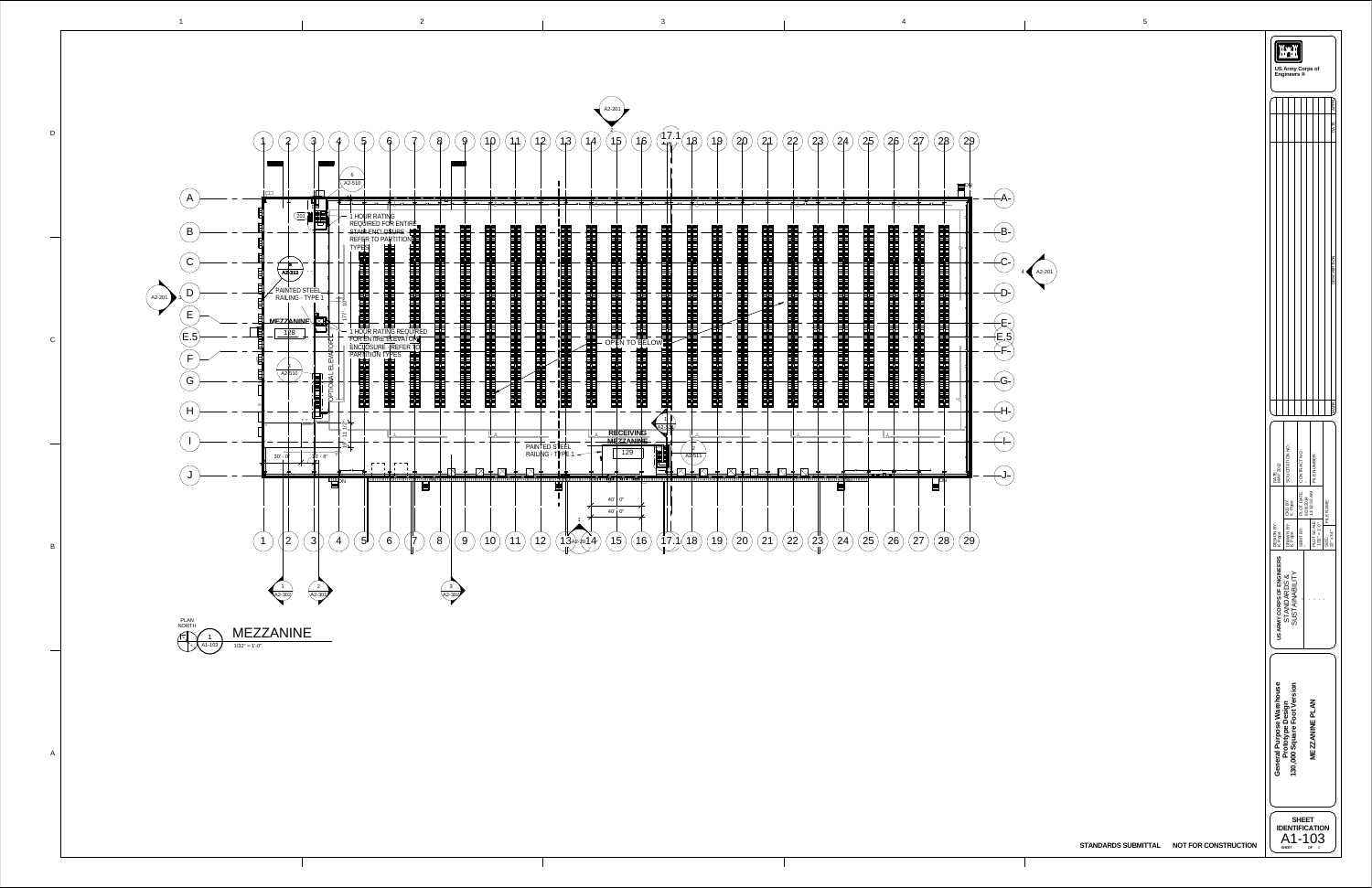1